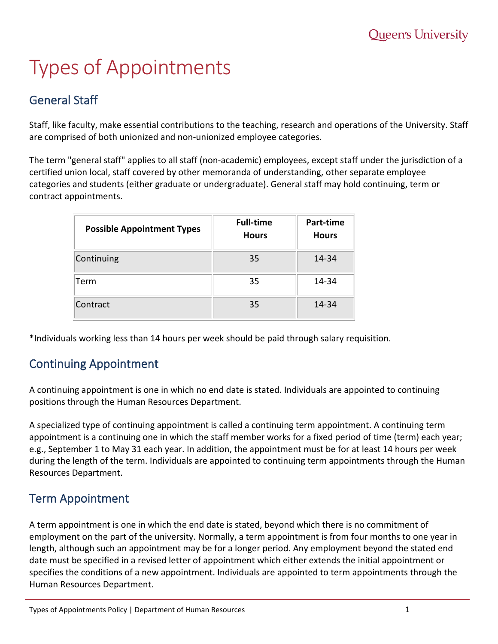# Types of Appointments

# General Staff

Staff, like faculty, make essential contributions to the teaching, research and operations of the University. Staff are comprised of both unionized and non-unionized employee categories.

The term "general staff" applies to all staff (non-academic) employees, except staff under the jurisdiction of a certified union local, staff covered by other memoranda of understanding, other separate employee categories and students (either graduate or undergraduate). General staff may hold continuing, term or contract appointments.

| <b>Possible Appointment Types</b> | <b>Full-time</b><br><b>Hours</b> | Part-time<br><b>Hours</b> |
|-----------------------------------|----------------------------------|---------------------------|
| Continuing                        | 35                               | 14-34                     |
| Term                              | 35                               | 14-34                     |
| Contract                          | 35                               | 14-34                     |

\*Individuals working less than 14 hours per week should be paid through salary requisition.

### Continuing Appointment

A continuing appointment is one in which no end date is stated. Individuals are appointed to continuing positions through the Human Resources Department.

A specialized type of continuing appointment is called a continuing term appointment. A continuing term appointment is a continuing one in which the staff member works for a fixed period of time (term) each year; e.g., September 1 to May 31 each year. In addition, the appointment must be for at least 14 hours per week during the length of the term. Individuals are appointed to continuing term appointments through the Human Resources Department.

### Term Appointment

A term appointment is one in which the end date is stated, beyond which there is no commitment of employment on the part of the university. Normally, a term appointment is from four months to one year in length, although such an appointment may be for a longer period. Any employment beyond the stated end date must be specified in a revised letter of appointment which either extends the initial appointment or specifies the conditions of a new appointment. Individuals are appointed to term appointments through the Human Resources Department.